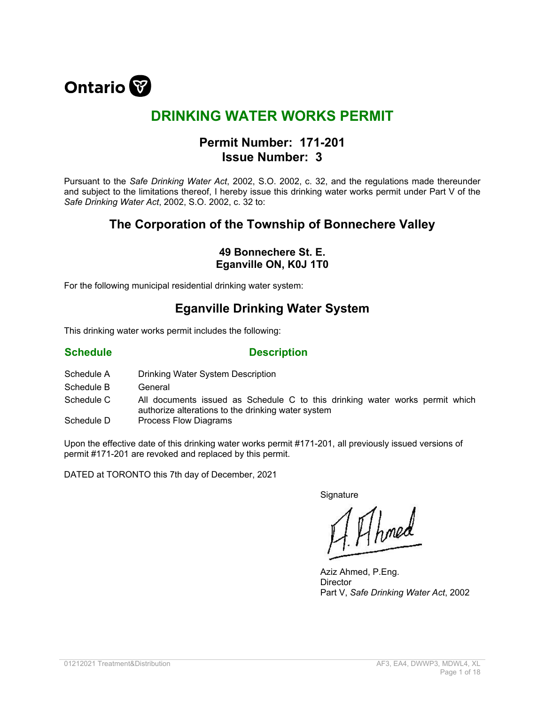

# **DRINKING WATER WORKS PERMIT**

### **Permit Number: 171-201 Issue Number: 3**

Pursuant to the *Safe Drinking Water Act*, 2002, S.O. 2002, c. 32, and the regulations made thereunder and subject to the limitations thereof, I hereby issue this drinking water works permit under Part V of the *Safe Drinking Water Act*, 2002, S.O. 2002, c. 32 to:

## **The Corporation of the Township of Bonnechere Valley**

### **49 Bonnechere St. E. Eganville ON, K0J 1T0**

For the following municipal residential drinking water system:

### **Eganville Drinking Water System**

This drinking water works permit includes the following:

#### **Schedule Description**

- Schedule A Drinking Water System Description
- Schedule B General
- Schedule C All documents issued as Schedule C to this drinking water works permit which authorize alterations to the drinking water system
- Schedule D Process Flow Diagrams

Upon the effective date of this drinking water works permit #171-201, all previously issued versions of permit #171-201 are revoked and replaced by this permit.

DATED at TORONTO this 7th day of December, 2021

**Signature** 

1 Ahmed

Aziz Ahmed, P.Eng. **Director** Part V, *Safe Drinking Water Act*, 2002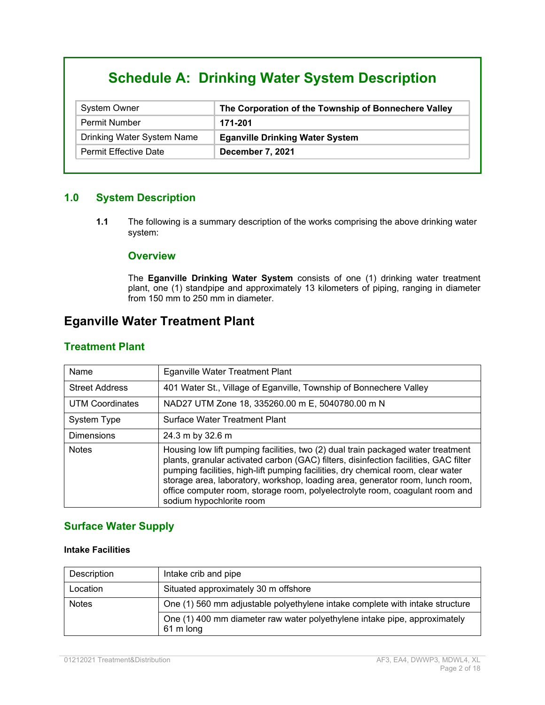# **Schedule A: Drinking Water System Description**

| <b>System Owner</b>          | The Corporation of the Township of Bonnechere Valley |
|------------------------------|------------------------------------------------------|
| <b>Permit Number</b>         | 171-201                                              |
| Drinking Water System Name   | <b>Eganville Drinking Water System</b>               |
| <b>Permit Effective Date</b> | December 7, 2021                                     |

#### **1.0 System Description**

**1.1** The following is a summary description of the works comprising the above drinking water system:

#### **Overview**

The **Eganville Drinking Water System** consists of one (1) drinking water treatment plant, one (1) standpipe and approximately 13 kilometers of piping, ranging in diameter from 150 mm to 250 mm in diameter.

# **Eganville Water Treatment Plant**

#### **Treatment Plant**

| Name                   | <b>Eganville Water Treatment Plant</b>                                                                                                                                                                                                                                                                                                                                                                                                                    |
|------------------------|-----------------------------------------------------------------------------------------------------------------------------------------------------------------------------------------------------------------------------------------------------------------------------------------------------------------------------------------------------------------------------------------------------------------------------------------------------------|
| <b>Street Address</b>  | 401 Water St., Village of Eganville, Township of Bonnechere Valley                                                                                                                                                                                                                                                                                                                                                                                        |
| <b>UTM Coordinates</b> | NAD27 UTM Zone 18, 335260.00 m E, 5040780.00 m N                                                                                                                                                                                                                                                                                                                                                                                                          |
| System Type            | Surface Water Treatment Plant                                                                                                                                                                                                                                                                                                                                                                                                                             |
| <b>Dimensions</b>      | 24.3 m by 32.6 m                                                                                                                                                                                                                                                                                                                                                                                                                                          |
| <b>Notes</b>           | Housing low lift pumping facilities, two (2) dual train packaged water treatment<br>plants, granular activated carbon (GAC) filters, disinfection facilities, GAC filter<br>pumping facilities, high-lift pumping facilities, dry chemical room, clear water<br>storage area, laboratory, workshop, loading area, generator room, lunch room,<br>office computer room, storage room, polyelectrolyte room, coagulant room and<br>sodium hypochlorite room |

#### **Surface Water Supply**

#### **Intake Facilities**

| Description  | Intake crib and pipe                                                                   |
|--------------|----------------------------------------------------------------------------------------|
| Location     | Situated approximately 30 m offshore                                                   |
| <b>Notes</b> | One (1) 560 mm adjustable polyethylene intake complete with intake structure           |
|              | One (1) 400 mm diameter raw water polyethylene intake pipe, approximately<br>61 m long |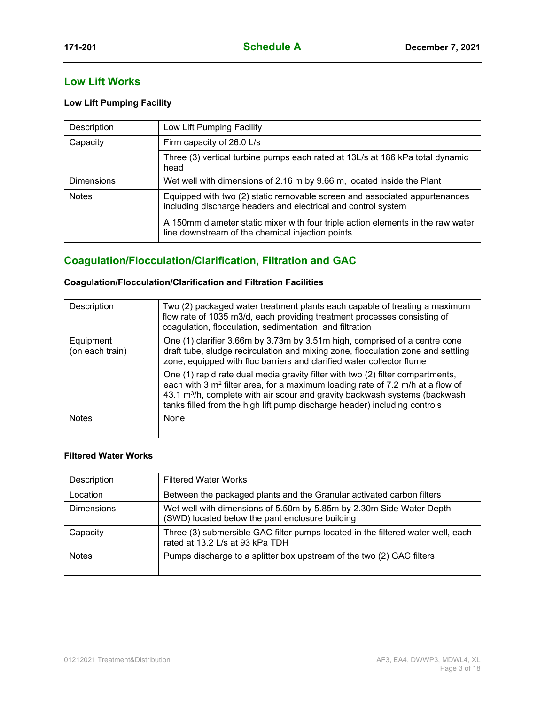#### **Low Lift Works**

#### **Low Lift Pumping Facility**

| Description       | Low Lift Pumping Facility                                                                                                                   |
|-------------------|---------------------------------------------------------------------------------------------------------------------------------------------|
| Capacity          | Firm capacity of 26.0 L/s                                                                                                                   |
|                   | Three (3) vertical turbine pumps each rated at 13L/s at 186 kPa total dynamic<br>head                                                       |
| <b>Dimensions</b> | Wet well with dimensions of 2.16 m by 9.66 m, located inside the Plant                                                                      |
| <b>Notes</b>      | Equipped with two (2) static removable screen and associated appurtenances<br>including discharge headers and electrical and control system |
|                   | A 150mm diameter static mixer with four triple action elements in the raw water<br>line downstream of the chemical injection points         |

### **Coagulation/Flocculation/Clarification, Filtration and GAC**

#### **Coagulation/Flocculation/Clarification and Filtration Facilities**

| Description                  | Two (2) packaged water treatment plants each capable of treating a maximum<br>flow rate of 1035 m3/d, each providing treatment processes consisting of<br>coagulation, flocculation, sedimentation, and filtration                                                                                                                                  |
|------------------------------|-----------------------------------------------------------------------------------------------------------------------------------------------------------------------------------------------------------------------------------------------------------------------------------------------------------------------------------------------------|
| Equipment<br>(on each train) | One (1) clarifier 3.66m by 3.73m by 3.51m high, comprised of a centre cone<br>draft tube, sludge recirculation and mixing zone, flocculation zone and settling<br>zone, equipped with floc barriers and clarified water collector flume                                                                                                             |
|                              | One (1) rapid rate dual media gravity filter with two (2) filter compartments,<br>each with 3 m <sup>2</sup> filter area, for a maximum loading rate of 7.2 m/h at a flow of<br>43.1 m <sup>3</sup> /h, complete with air scour and gravity backwash systems (backwash<br>tanks filled from the high lift pump discharge header) including controls |
| <b>Notes</b>                 | None                                                                                                                                                                                                                                                                                                                                                |

#### **Filtered Water Works**

| Description       | <b>Filtered Water Works</b>                                                                                             |
|-------------------|-------------------------------------------------------------------------------------------------------------------------|
| Location          | Between the packaged plants and the Granular activated carbon filters                                                   |
| <b>Dimensions</b> | Wet well with dimensions of 5.50m by 5.85m by 2.30m Side Water Depth<br>(SWD) located below the pant enclosure building |
| Capacity          | Three (3) submersible GAC filter pumps located in the filtered water well, each<br>rated at 13.2 L/s at 93 kPa TDH      |
| <b>Notes</b>      | Pumps discharge to a splitter box upstream of the two (2) GAC filters                                                   |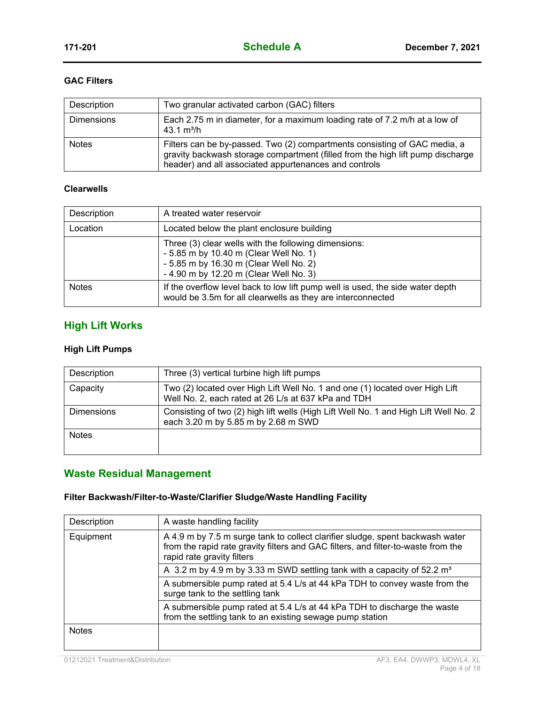#### **GAC Filters**

| Description       | Two granular activated carbon (GAC) filters                                                                                                                                                                          |
|-------------------|----------------------------------------------------------------------------------------------------------------------------------------------------------------------------------------------------------------------|
| <b>Dimensions</b> | Each 2.75 m in diameter, for a maximum loading rate of 7.2 m/h at a low of<br>43.1 $m^3/h$                                                                                                                           |
| <b>Notes</b>      | Filters can be by-passed. Two (2) compartments consisting of GAC media, a<br>gravity backwash storage compartment (filled from the high lift pump discharge<br>header) and all associated appurtenances and controls |

#### **Clearwells**

| Description  | A treated water reservoir                                                                                                                                                          |
|--------------|------------------------------------------------------------------------------------------------------------------------------------------------------------------------------------|
| Location     | Located below the plant enclosure building                                                                                                                                         |
|              | Three (3) clear wells with the following dimensions:<br>- 5.85 m by 10.40 m (Clear Well No. 1)<br>- 5.85 m by 16.30 m (Clear Well No. 2)<br>- 4.90 m by 12.20 m (Clear Well No. 3) |
| <b>Notes</b> | If the overflow level back to low lift pump well is used, the side water depth<br>would be 3.5m for all clearwells as they are interconnected                                      |

### **High Lift Works**

#### **High Lift Pumps**

| Description       | Three (3) vertical turbine high lift pumps                                                                                          |
|-------------------|-------------------------------------------------------------------------------------------------------------------------------------|
| Capacity          | Two (2) located over High Lift Well No. 1 and one (1) located over High Lift<br>Well No. 2, each rated at 26 L/s at 637 kPa and TDH |
| <b>Dimensions</b> | Consisting of two (2) high lift wells (High Lift Well No. 1 and High Lift Well No. 2<br>each 3.20 m by 5.85 m by 2.68 m SWD         |
| <b>Notes</b>      |                                                                                                                                     |

### **Waste Residual Management**

### **Filter Backwash/Filter-to-Waste/Clarifier Sludge/Waste Handling Facility**

| Description  | A waste handling facility                                                                                                                                                                        |
|--------------|--------------------------------------------------------------------------------------------------------------------------------------------------------------------------------------------------|
| Equipment    | A 4.9 m by 7.5 m surge tank to collect clarifier sludge, spent backwash water<br>from the rapid rate gravity filters and GAC filters, and filter-to-waste from the<br>rapid rate gravity filters |
|              | A 3.2 m by 4.9 m by 3.33 m SWD settling tank with a capacity of 52.2 m <sup>3</sup>                                                                                                              |
|              | A submersible pump rated at 5.4 L/s at 44 kPa TDH to convey waste from the<br>surge tank to the settling tank                                                                                    |
|              | A submersible pump rated at 5.4 L/s at 44 kPa TDH to discharge the waste<br>from the settling tank to an existing sewage pump station                                                            |
| <b>Notes</b> |                                                                                                                                                                                                  |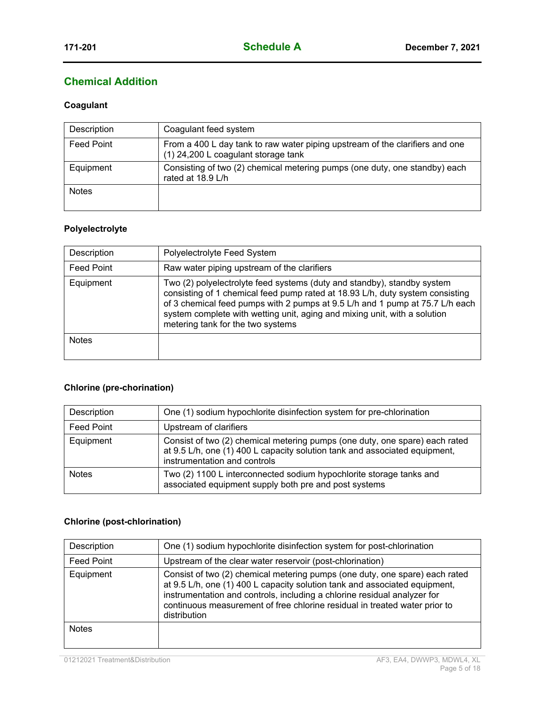### **Chemical Addition**

#### **Coagulant**

| Description       | Coagulant feed system                                                                                               |
|-------------------|---------------------------------------------------------------------------------------------------------------------|
| <b>Feed Point</b> | From a 400 L day tank to raw water piping upstream of the clarifiers and one<br>(1) 24,200 L coagulant storage tank |
| Equipment         | Consisting of two (2) chemical metering pumps (one duty, one standby) each<br>rated at 18.9 L/h                     |
| <b>Notes</b>      |                                                                                                                     |

#### **Polyelectrolyte**

| Description       | Polyelectrolyte Feed System                                                                                                                                                                                                                                                                                                                                |
|-------------------|------------------------------------------------------------------------------------------------------------------------------------------------------------------------------------------------------------------------------------------------------------------------------------------------------------------------------------------------------------|
| <b>Feed Point</b> | Raw water piping upstream of the clarifiers                                                                                                                                                                                                                                                                                                                |
| Equipment         | Two (2) polyelectrolyte feed systems (duty and standby), standby system<br>consisting of 1 chemical feed pump rated at 18.93 L/h, duty system consisting<br>of 3 chemical feed pumps with 2 pumps at 9.5 L/h and 1 pump at 75.7 L/h each<br>system complete with wetting unit, aging and mixing unit, with a solution<br>metering tank for the two systems |
| <b>Notes</b>      |                                                                                                                                                                                                                                                                                                                                                            |

#### **Chlorine (pre-chorination)**

| Description       | One (1) sodium hypochlorite disinfection system for pre-chlorination                                                                                                                      |
|-------------------|-------------------------------------------------------------------------------------------------------------------------------------------------------------------------------------------|
| <b>Feed Point</b> | Upstream of clarifiers                                                                                                                                                                    |
| Equipment         | Consist of two (2) chemical metering pumps (one duty, one spare) each rated<br>at 9.5 L/h, one (1) 400 L capacity solution tank and associated equipment,<br>instrumentation and controls |
| <b>Notes</b>      | Two (2) 1100 L interconnected sodium hypochlorite storage tanks and<br>associated equipment supply both pre and post systems                                                              |

#### **Chlorine (post-chlorination)**

| Description       | One (1) sodium hypochlorite disinfection system for post-chlorination                                                                                                                                                                                                                                                               |
|-------------------|-------------------------------------------------------------------------------------------------------------------------------------------------------------------------------------------------------------------------------------------------------------------------------------------------------------------------------------|
| <b>Feed Point</b> | Upstream of the clear water reservoir (post-chlorination)                                                                                                                                                                                                                                                                           |
| Equipment         | Consist of two (2) chemical metering pumps (one duty, one spare) each rated<br>at 9.5 L/h, one (1) 400 L capacity solution tank and associated equipment,<br>instrumentation and controls, including a chlorine residual analyzer for<br>continuous measurement of free chlorine residual in treated water prior to<br>distribution |
| <b>Notes</b>      |                                                                                                                                                                                                                                                                                                                                     |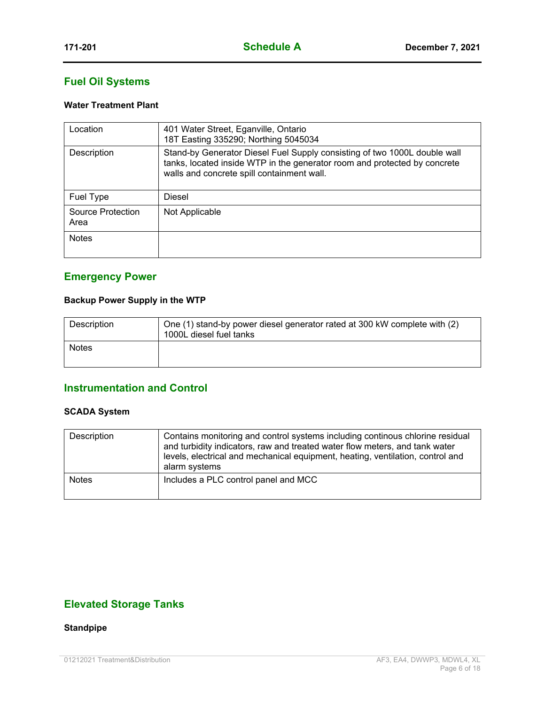### **Fuel Oil Systems**

#### **Water Treatment Plant**

| Location                  | 401 Water Street, Eganville, Ontario<br>18T Easting 335290; Northing 5045034                                                                                                                         |
|---------------------------|------------------------------------------------------------------------------------------------------------------------------------------------------------------------------------------------------|
| Description               | Stand-by Generator Diesel Fuel Supply consisting of two 1000L double wall<br>tanks, located inside WTP in the generator room and protected by concrete<br>walls and concrete spill containment wall. |
| Fuel Type                 | Diesel                                                                                                                                                                                               |
| Source Protection<br>Area | Not Applicable                                                                                                                                                                                       |
| <b>Notes</b>              |                                                                                                                                                                                                      |

### **Emergency Power**

#### **Backup Power Supply in the WTP**

| Description  | One (1) stand-by power diesel generator rated at 300 kW complete with (2)<br>1000L diesel fuel tanks |
|--------------|------------------------------------------------------------------------------------------------------|
| <b>Notes</b> |                                                                                                      |

### **Instrumentation and Control**

#### **SCADA System**

| Description  | Contains monitoring and control systems including continous chlorine residual<br>and turbidity indicators, raw and treated water flow meters, and tank water<br>levels, electrical and mechanical equipment, heating, ventilation, control and<br>alarm systems |
|--------------|-----------------------------------------------------------------------------------------------------------------------------------------------------------------------------------------------------------------------------------------------------------------|
| <b>Notes</b> | Includes a PLC control panel and MCC                                                                                                                                                                                                                            |

### **Elevated Storage Tanks**

**Standpipe**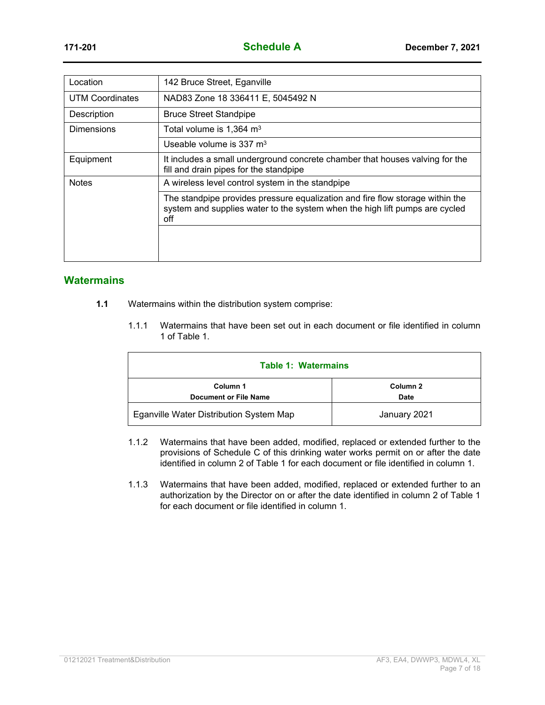| Location               | 142 Bruce Street, Eganville                                                                                                                                         |
|------------------------|---------------------------------------------------------------------------------------------------------------------------------------------------------------------|
| <b>UTM Coordinates</b> | NAD83 Zone 18 336411 E, 5045492 N                                                                                                                                   |
| Description            | <b>Bruce Street Standpipe</b>                                                                                                                                       |
| <b>Dimensions</b>      | Total volume is $1,364 \text{ m}^3$                                                                                                                                 |
|                        | Useable volume is $337 \text{ m}^3$                                                                                                                                 |
| Equipment              | It includes a small underground concrete chamber that houses valving for the<br>fill and drain pipes for the standpipe                                              |
| <b>Notes</b>           | A wireless level control system in the standpipe                                                                                                                    |
|                        | The standpipe provides pressure equalization and fire flow storage within the<br>system and supplies water to the system when the high lift pumps are cycled<br>off |
|                        |                                                                                                                                                                     |
|                        |                                                                                                                                                                     |

#### **Watermains**

- **1.1** Watermains within the distribution system comprise:
	- 1.1.1 Watermains that have been set out in each document or file identified in column 1 of Table 1.

| <b>Table 1: Watermains</b>               |                  |
|------------------------------------------|------------------|
| Column 1<br><b>Document or File Name</b> | Column 2<br>Date |
| Eganville Water Distribution System Map  | January 2021     |

- 1.1.2 Watermains that have been added, modified, replaced or extended further to the provisions of Schedule C of this drinking water works permit on or after the date identified in column 2 of Table 1 for each document or file identified in column 1.
- 1.1.3 Watermains that have been added, modified, replaced or extended further to an authorization by the Director on or after the date identified in column 2 of Table 1 for each document or file identified in column 1.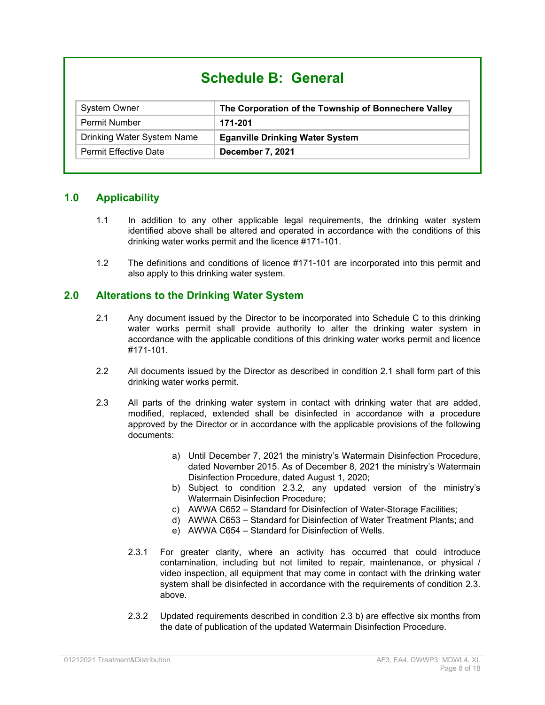# **Schedule B: General**

| <b>System Owner</b>          | The Corporation of the Township of Bonnechere Valley |
|------------------------------|------------------------------------------------------|
| <b>Permit Number</b>         | 171-201                                              |
| Drinking Water System Name   | <b>Eganville Drinking Water System</b>               |
| <b>Permit Effective Date</b> | December 7, 2021                                     |

#### **1.0 Applicability**

- 1.1 In addition to any other applicable legal requirements, the drinking water system identified above shall be altered and operated in accordance with the conditions of this drinking water works permit and the licence #171-101.
- 1.2 The definitions and conditions of licence #171-101 are incorporated into this permit and also apply to this drinking water system.

#### **2.0 Alterations to the Drinking Water System**

- 2.1 Any document issued by the Director to be incorporated into Schedule C to this drinking water works permit shall provide authority to alter the drinking water system in accordance with the applicable conditions of this drinking water works permit and licence #171-101.
- 2.2 All documents issued by the Director as described in condition 2.1 shall form part of this drinking water works permit.
- 2.3 All parts of the drinking water system in contact with drinking water that are added, modified, replaced, extended shall be disinfected in accordance with a procedure approved by the Director or in accordance with the applicable provisions of the following documents:
	- a) Until December 7, 2021 the ministry's Watermain Disinfection Procedure, dated November 2015. As of December 8, 2021 the ministry's Watermain Disinfection Procedure, dated August 1, 2020;
	- b) Subject to condition 2.3.2, any updated version of the ministry's Watermain Disinfection Procedure;
	- c) AWWA C652 Standard for Disinfection of Water-Storage Facilities;
	- d) AWWA C653 Standard for Disinfection of Water Treatment Plants; and
	- e) AWWA C654 Standard for Disinfection of Wells.
	- 2.3.1 For greater clarity, where an activity has occurred that could introduce contamination, including but not limited to repair, maintenance, or physical / video inspection, all equipment that may come in contact with the drinking water system shall be disinfected in accordance with the requirements of condition 2.3. above.
	- 2.3.2 Updated requirements described in condition 2.3 b) are effective six months from the date of publication of the updated Watermain Disinfection Procedure.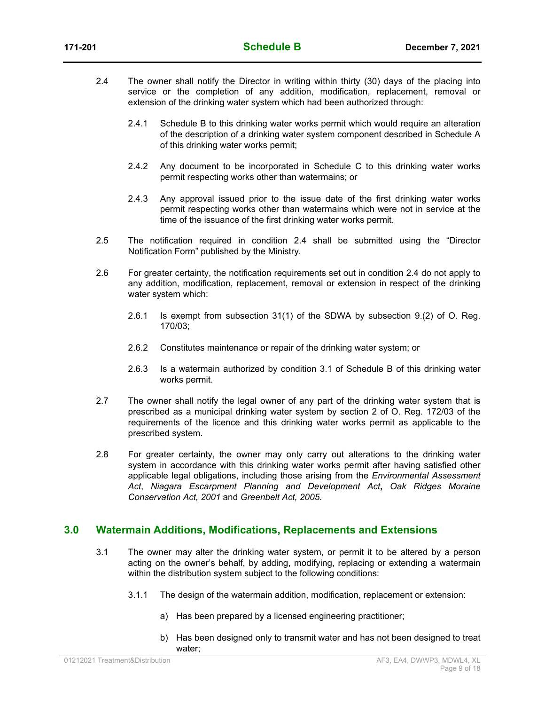- 2.4 The owner shall notify the Director in writing within thirty (30) days of the placing into service or the completion of any addition, modification, replacement, removal or extension of the drinking water system which had been authorized through:
	- 2.4.1 Schedule B to this drinking water works permit which would require an alteration of the description of a drinking water system component described in Schedule A of this drinking water works permit;
	- 2.4.2 Any document to be incorporated in Schedule C to this drinking water works permit respecting works other than watermains; or
	- 2.4.3 Any approval issued prior to the issue date of the first drinking water works permit respecting works other than watermains which were not in service at the time of the issuance of the first drinking water works permit.
- 2.5 The notification required in condition 2.4 shall be submitted using the "Director Notification Form" published by the Ministry.
- 2.6 For greater certainty, the notification requirements set out in condition 2.4 do not apply to any addition, modification, replacement, removal or extension in respect of the drinking water system which:
	- 2.6.1 Is exempt from subsection 31(1) of the SDWA by subsection 9.(2) of O. Reg. 170/03;
	- 2.6.2 Constitutes maintenance or repair of the drinking water system; or
	- 2.6.3 Is a watermain authorized by condition 3.1 of Schedule B of this drinking water works permit.
- 2.7 The owner shall notify the legal owner of any part of the drinking water system that is prescribed as a municipal drinking water system by section 2 of O. Reg. 172/03 of the requirements of the licence and this drinking water works permit as applicable to the prescribed system.
- 2.8 For greater certainty, the owner may only carry out alterations to the drinking water system in accordance with this drinking water works permit after having satisfied other applicable legal obligations, including those arising from the *Environmental Assessment Act*, *Niagara Escarpment Planning and Development Act***,** *Oak Ridges Moraine Conservation Act, 2001* and *Greenbelt Act, 2005*.

#### **3.0 Watermain Additions, Modifications, Replacements and Extensions**

- 3.1 The owner may alter the drinking water system, or permit it to be altered by a person acting on the owner's behalf, by adding, modifying, replacing or extending a watermain within the distribution system subject to the following conditions:
	- 3.1.1 The design of the watermain addition, modification, replacement or extension:
		- a) Has been prepared by a licensed engineering practitioner;
		- b) Has been designed only to transmit water and has not been designed to treat water;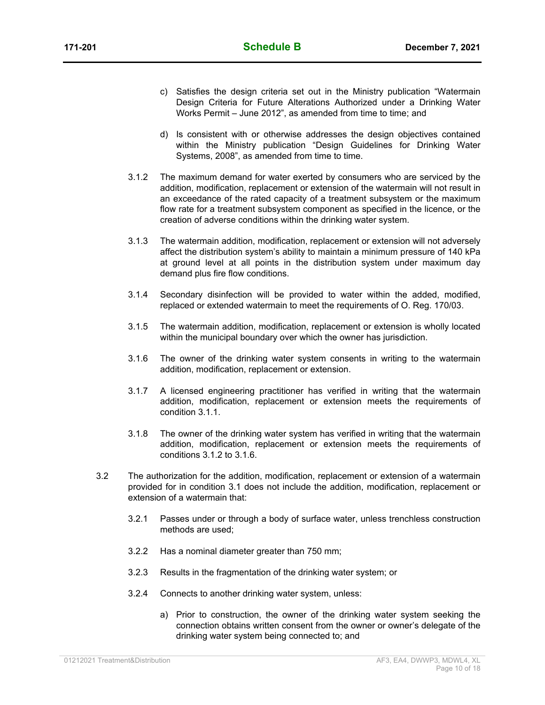- c) Satisfies the design criteria set out in the Ministry publication "Watermain Design Criteria for Future Alterations Authorized under a Drinking Water Works Permit – June 2012", as amended from time to time; and
- d) Is consistent with or otherwise addresses the design objectives contained within the Ministry publication "Design Guidelines for Drinking Water Systems, 2008", as amended from time to time.
- 3.1.2 The maximum demand for water exerted by consumers who are serviced by the addition, modification, replacement or extension of the watermain will not result in an exceedance of the rated capacity of a treatment subsystem or the maximum flow rate for a treatment subsystem component as specified in the licence, or the creation of adverse conditions within the drinking water system.
- 3.1.3 The watermain addition, modification, replacement or extension will not adversely affect the distribution system's ability to maintain a minimum pressure of 140 kPa at ground level at all points in the distribution system under maximum day demand plus fire flow conditions.
- 3.1.4 Secondary disinfection will be provided to water within the added, modified, replaced or extended watermain to meet the requirements of O. Reg. 170/03.
- 3.1.5 The watermain addition, modification, replacement or extension is wholly located within the municipal boundary over which the owner has jurisdiction.
- 3.1.6 The owner of the drinking water system consents in writing to the watermain addition, modification, replacement or extension.
- 3.1.7 A licensed engineering practitioner has verified in writing that the watermain addition, modification, replacement or extension meets the requirements of condition 3.1.1.
- 3.1.8 The owner of the drinking water system has verified in writing that the watermain addition, modification, replacement or extension meets the requirements of conditions 3.1.2 to 3.1.6.
- 3.2 The authorization for the addition, modification, replacement or extension of a watermain provided for in condition 3.1 does not include the addition, modification, replacement or extension of a watermain that:
	- 3.2.1 Passes under or through a body of surface water, unless trenchless construction methods are used;
	- 3.2.2 Has a nominal diameter greater than 750 mm;
	- 3.2.3 Results in the fragmentation of the drinking water system; or
	- 3.2.4 Connects to another drinking water system, unless:
		- a) Prior to construction, the owner of the drinking water system seeking the connection obtains written consent from the owner or owner's delegate of the drinking water system being connected to; and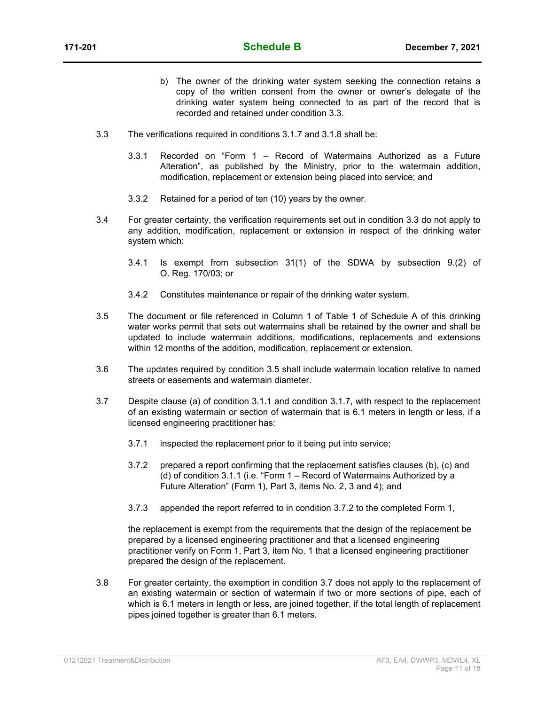- b) The owner of the drinking water system seeking the connection retains a copy of the written consent from the owner or owner's delegate of the drinking water system being connected to as part of the record that is recorded and retained under condition 3.3.
- 3.3 The verifications required in conditions 3.1.7 and 3.1.8 shall be:
	- 3.3.1 Recorded on "Form 1 Record of Watermains Authorized as a Future Alteration", as published by the Ministry, prior to the watermain addition, modification, replacement or extension being placed into service; and
	- 3.3.2 Retained for a period of ten (10) years by the owner.
- 3.4 For greater certainty, the verification requirements set out in condition 3.3 do not apply to any addition, modification, replacement or extension in respect of the drinking water system which:
	- 3.4.1 Is exempt from subsection 31(1) of the SDWA by subsection 9.(2) of O. Reg. 170/03; or
	- 3.4.2 Constitutes maintenance or repair of the drinking water system.
- 3.5 The document or file referenced in Column 1 of Table 1 of Schedule A of this drinking water works permit that sets out watermains shall be retained by the owner and shall be updated to include watermain additions, modifications, replacements and extensions within 12 months of the addition, modification, replacement or extension.
- 3.6 The updates required by condition 3.5 shall include watermain location relative to named streets or easements and watermain diameter.
- 3.7 Despite clause (a) of condition 3.1.1 and condition 3.1.7, with respect to the replacement of an existing watermain or section of watermain that is 6.1 meters in length or less, if a licensed engineering practitioner has:
	- 3.7.1 inspected the replacement prior to it being put into service;
	- 3.7.2 prepared a report confirming that the replacement satisfies clauses (b), (c) and (d) of condition 3.1.1 (i.e. "Form 1 – Record of Watermains Authorized by a Future Alteration" (Form 1), Part 3, items No. 2, 3 and 4); and
	- 3.7.3 appended the report referred to in condition 3.7.2 to the completed Form 1,

the replacement is exempt from the requirements that the design of the replacement be prepared by a licensed engineering practitioner and that a licensed engineering practitioner verify on Form 1, Part 3, item No. 1 that a licensed engineering practitioner prepared the design of the replacement.

3.8 For greater certainty, the exemption in condition 3.7 does not apply to the replacement of an existing watermain or section of watermain if two or more sections of pipe, each of which is 6.1 meters in length or less, are joined together, if the total length of replacement pipes joined together is greater than 6.1 meters.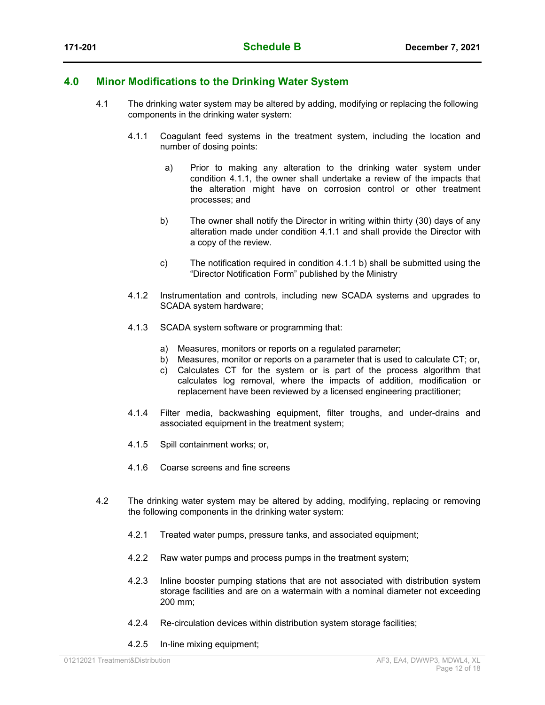#### **4.0 Minor Modifications to the Drinking Water System**

- 4.1 The drinking water system may be altered by adding, modifying or replacing the following components in the drinking water system:
	- 4.1.1 Coagulant feed systems in the treatment system, including the location and number of dosing points:
		- a) Prior to making any alteration to the drinking water system under condition 4.1.1, the owner shall undertake a review of the impacts that the alteration might have on corrosion control or other treatment processes; and
		- b) The owner shall notify the Director in writing within thirty (30) days of any alteration made under condition 4.1.1 and shall provide the Director with a copy of the review.
		- c) The notification required in condition 4.1.1 b) shall be submitted using the "Director Notification Form" published by the Ministry
	- 4.1.2 Instrumentation and controls, including new SCADA systems and upgrades to SCADA system hardware;
	- 4.1.3 SCADA system software or programming that:
		- a) Measures, monitors or reports on a regulated parameter;
		- b) Measures, monitor or reports on a parameter that is used to calculate CT; or,
		- c) Calculates CT for the system or is part of the process algorithm that calculates log removal, where the impacts of addition, modification or replacement have been reviewed by a licensed engineering practitioner;
	- 4.1.4 Filter media, backwashing equipment, filter troughs, and under-drains and associated equipment in the treatment system;
	- 4.1.5 Spill containment works; or,
	- 4.1.6 Coarse screens and fine screens
- 4.2 The drinking water system may be altered by adding, modifying, replacing or removing the following components in the drinking water system:
	- 4.2.1 Treated water pumps, pressure tanks, and associated equipment;
	- 4.2.2 Raw water pumps and process pumps in the treatment system;
	- 4.2.3 Inline booster pumping stations that are not associated with distribution system storage facilities and are on a watermain with a nominal diameter not exceeding 200 mm;
	- 4.2.4 Re-circulation devices within distribution system storage facilities;
	- 4.2.5 In-line mixing equipment;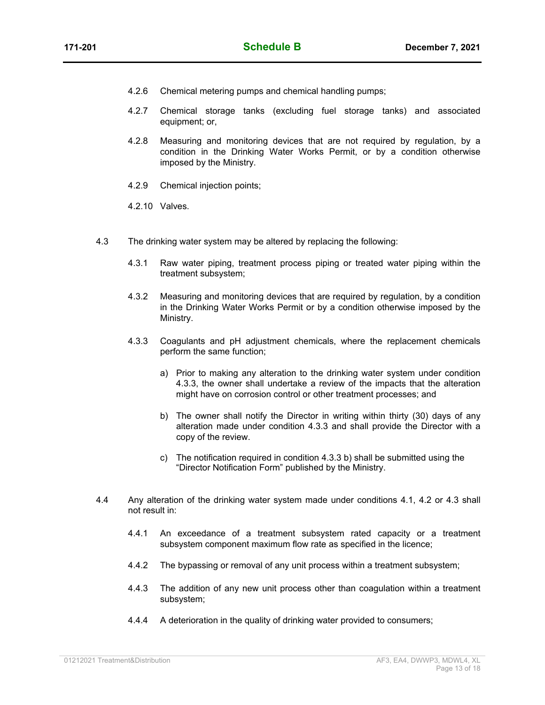- 4.2.6 Chemical metering pumps and chemical handling pumps;
- 4.2.7 Chemical storage tanks (excluding fuel storage tanks) and associated equipment; or,
- 4.2.8 Measuring and monitoring devices that are not required by regulation, by a condition in the Drinking Water Works Permit, or by a condition otherwise imposed by the Ministry.
- 4.2.9 Chemical injection points;
- 4.2.10 Valves.
- 4.3 The drinking water system may be altered by replacing the following:
	- 4.3.1 Raw water piping, treatment process piping or treated water piping within the treatment subsystem;
	- 4.3.2 Measuring and monitoring devices that are required by regulation, by a condition in the Drinking Water Works Permit or by a condition otherwise imposed by the Ministry.
	- 4.3.3 Coagulants and pH adjustment chemicals, where the replacement chemicals perform the same function;
		- a) Prior to making any alteration to the drinking water system under condition 4.3.3, the owner shall undertake a review of the impacts that the alteration might have on corrosion control or other treatment processes; and
		- b) The owner shall notify the Director in writing within thirty (30) days of any alteration made under condition 4.3.3 and shall provide the Director with a copy of the review.
		- c) The notification required in condition 4.3.3 b) shall be submitted using the "Director Notification Form" published by the Ministry.
- 4.4 Any alteration of the drinking water system made under conditions 4.1, 4.2 or 4.3 shall not result in:
	- 4.4.1 An exceedance of a treatment subsystem rated capacity or a treatment subsystem component maximum flow rate as specified in the licence;
	- 4.4.2 The bypassing or removal of any unit process within a treatment subsystem;
	- 4.4.3 The addition of any new unit process other than coagulation within a treatment subsystem;
	- 4.4.4 A deterioration in the quality of drinking water provided to consumers;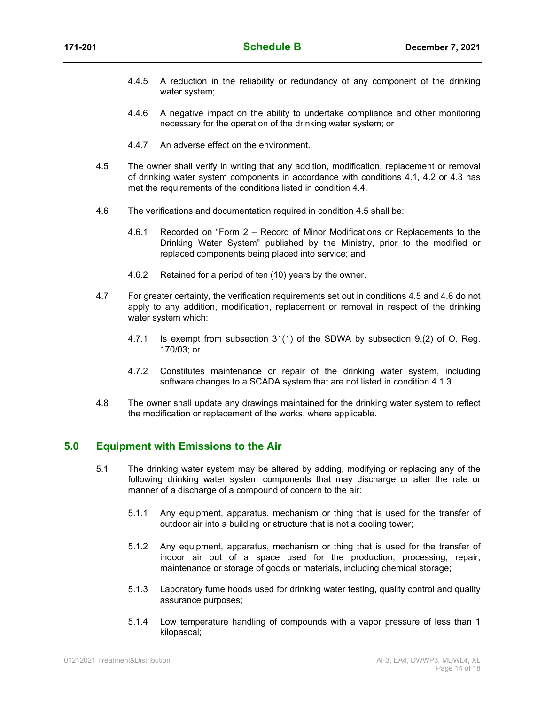- 4.4.5 A reduction in the reliability or redundancy of any component of the drinking water system;
- 4.4.6 A negative impact on the ability to undertake compliance and other monitoring necessary for the operation of the drinking water system; or
- 4.4.7 An adverse effect on the environment.
- 4.5 The owner shall verify in writing that any addition, modification, replacement or removal of drinking water system components in accordance with conditions 4.1, 4.2 or 4.3 has met the requirements of the conditions listed in condition 4.4.
- 4.6 The verifications and documentation required in condition 4.5 shall be:
	- 4.6.1 Recorded on "Form 2 Record of Minor Modifications or Replacements to the Drinking Water System" published by the Ministry, prior to the modified or replaced components being placed into service; and
	- 4.6.2 Retained for a period of ten (10) years by the owner.
- 4.7 For greater certainty, the verification requirements set out in conditions 4.5 and 4.6 do not apply to any addition, modification, replacement or removal in respect of the drinking water system which:
	- 4.7.1 Is exempt from subsection 31(1) of the SDWA by subsection 9.(2) of O. Reg. 170/03; or
	- 4.7.2 Constitutes maintenance or repair of the drinking water system, including software changes to a SCADA system that are not listed in condition 4.1.3
- 4.8 The owner shall update any drawings maintained for the drinking water system to reflect the modification or replacement of the works, where applicable.

#### **5.0 Equipment with Emissions to the Air**

- 5.1 The drinking water system may be altered by adding, modifying or replacing any of the following drinking water system components that may discharge or alter the rate or manner of a discharge of a compound of concern to the air:
	- 5.1.1 Any equipment, apparatus, mechanism or thing that is used for the transfer of outdoor air into a building or structure that is not a cooling tower;
	- 5.1.2 Any equipment, apparatus, mechanism or thing that is used for the transfer of indoor air out of a space used for the production, processing, repair, maintenance or storage of goods or materials, including chemical storage;
	- 5.1.3 Laboratory fume hoods used for drinking water testing, quality control and quality assurance purposes;
	- 5.1.4 Low temperature handling of compounds with a vapor pressure of less than 1 kilopascal;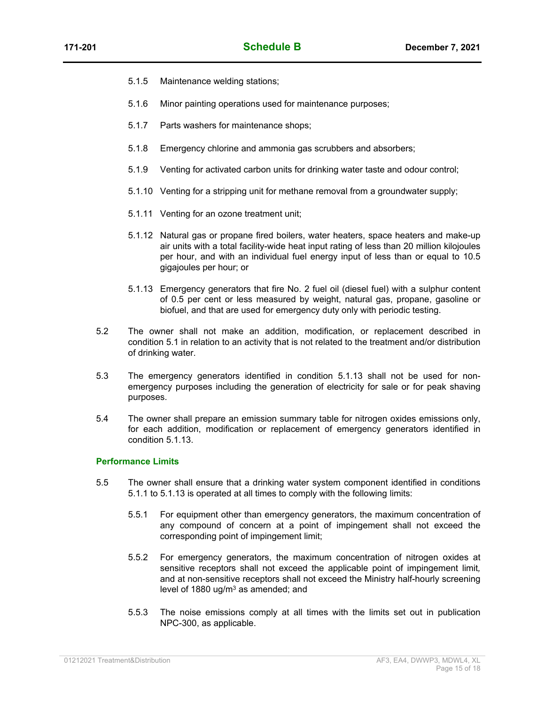- 5.1.5 Maintenance welding stations;
- 5.1.6 Minor painting operations used for maintenance purposes;
- 5.1.7 Parts washers for maintenance shops;
- 5.1.8 Emergency chlorine and ammonia gas scrubbers and absorbers;
- 5.1.9 Venting for activated carbon units for drinking water taste and odour control;
- 5.1.10 Venting for a stripping unit for methane removal from a groundwater supply;
- 5.1.11 Venting for an ozone treatment unit;
- 5.1.12 Natural gas or propane fired boilers, water heaters, space heaters and make-up air units with a total facility-wide heat input rating of less than 20 million kilojoules per hour, and with an individual fuel energy input of less than or equal to 10.5 gigajoules per hour; or
- 5.1.13 Emergency generators that fire No. 2 fuel oil (diesel fuel) with a sulphur content of 0.5 per cent or less measured by weight, natural gas, propane, gasoline or biofuel, and that are used for emergency duty only with periodic testing.
- 5.2 The owner shall not make an addition, modification, or replacement described in condition 5.1 in relation to an activity that is not related to the treatment and/or distribution of drinking water.
- 5.3 The emergency generators identified in condition 5.1.13 shall not be used for nonemergency purposes including the generation of electricity for sale or for peak shaving purposes.
- 5.4 The owner shall prepare an emission summary table for nitrogen oxides emissions only, for each addition, modification or replacement of emergency generators identified in condition 5.1.13.

#### **Performance Limits**

- 5.5 The owner shall ensure that a drinking water system component identified in conditions 5.1.1 to 5.1.13 is operated at all times to comply with the following limits:
	- 5.5.1 For equipment other than emergency generators, the maximum concentration of any compound of concern at a point of impingement shall not exceed the corresponding point of impingement limit;
	- 5.5.2 For emergency generators, the maximum concentration of nitrogen oxides at sensitive receptors shall not exceed the applicable point of impingement limit*,* and at non-sensitive receptors shall not exceed the Ministry half-hourly screening level of 1880 ug/m<sup>3</sup> as amended; and
	- 5.5.3 The noise emissions comply at all times with the limits set out in publication NPC-300, as applicable.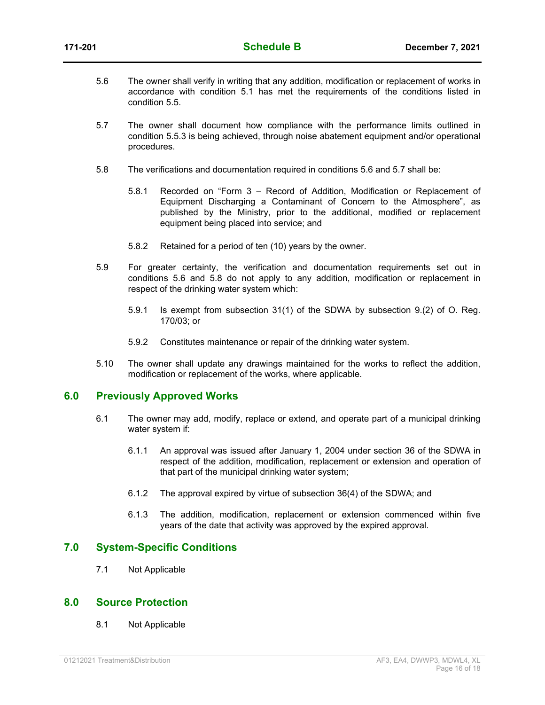- 5.6 The owner shall verify in writing that any addition, modification or replacement of works in accordance with condition 5.1 has met the requirements of the conditions listed in condition 5.5.
- 5.7 The owner shall document how compliance with the performance limits outlined in condition 5.5.3 is being achieved, through noise abatement equipment and/or operational procedures.
- 5.8 The verifications and documentation required in conditions 5.6 and 5.7 shall be:
	- 5.8.1 Recorded on "Form 3 Record of Addition, Modification or Replacement of Equipment Discharging a Contaminant of Concern to the Atmosphere", as published by the Ministry, prior to the additional, modified or replacement equipment being placed into service; and
	- 5.8.2 Retained for a period of ten (10) years by the owner.
- 5.9 For greater certainty, the verification and documentation requirements set out in conditions 5.6 and 5.8 do not apply to any addition, modification or replacement in respect of the drinking water system which:
	- 5.9.1 Is exempt from subsection 31(1) of the SDWA by subsection 9.(2) of O. Reg. 170/03; or
	- 5.9.2 Constitutes maintenance or repair of the drinking water system.
- 5.10 The owner shall update any drawings maintained for the works to reflect the addition, modification or replacement of the works, where applicable.

#### **6.0 Previously Approved Works**

- 6.1 The owner may add, modify, replace or extend, and operate part of a municipal drinking water system if:
	- 6.1.1 An approval was issued after January 1, 2004 under section 36 of the SDWA in respect of the addition, modification, replacement or extension and operation of that part of the municipal drinking water system;
	- 6.1.2 The approval expired by virtue of subsection 36(4) of the SDWA; and
	- 6.1.3 The addition, modification, replacement or extension commenced within five years of the date that activity was approved by the expired approval.

#### **7.0 System-Specific Conditions**

7.1 Not Applicable

#### **8.0 Source Protection**

8.1 Not Applicable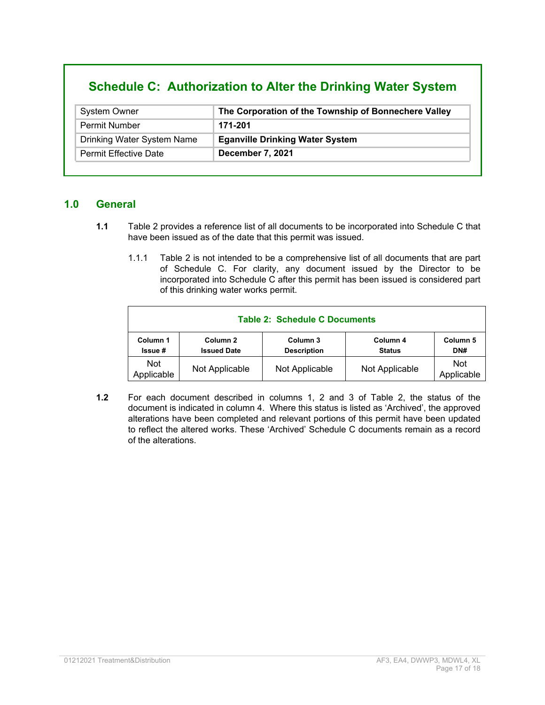# **Schedule C: Authorization to Alter the Drinking Water System**

| <b>System Owner</b>          | The Corporation of the Township of Bonnechere Valley |
|------------------------------|------------------------------------------------------|
| <b>Permit Number</b>         | 171-201                                              |
| Drinking Water System Name   | <b>Eganville Drinking Water System</b>               |
| <b>Permit Effective Date</b> | December 7, 2021                                     |

#### **1.0 General**

- **1.1** Table 2 provides a reference list of all documents to be incorporated into Schedule C that have been issued as of the date that this permit was issued.
	- 1.1.1 Table 2 is not intended to be a comprehensive list of all documents that are part of Schedule C. For clarity, any document issued by the Director to be incorporated into Schedule C after this permit has been issued is considered part of this drinking water works permit.

|                           |                                           | <b>Table 2: Schedule C Documents</b> |                           |                          |
|---------------------------|-------------------------------------------|--------------------------------------|---------------------------|--------------------------|
| Column 1<br><b>Issue#</b> | Column <sub>2</sub><br><b>Issued Date</b> | Column 3<br><b>Description</b>       | Column 4<br><b>Status</b> | Column 5<br>DN#          |
| <b>Not</b><br>Applicable  | Not Applicable                            | Not Applicable                       | Not Applicable            | <b>Not</b><br>Applicable |

**1.2** For each document described in columns 1, 2 and 3 of Table 2, the status of the document is indicated in column 4. Where this status is listed as 'Archived', the approved alterations have been completed and relevant portions of this permit have been updated to reflect the altered works. These 'Archived' Schedule C documents remain as a record of the alterations.